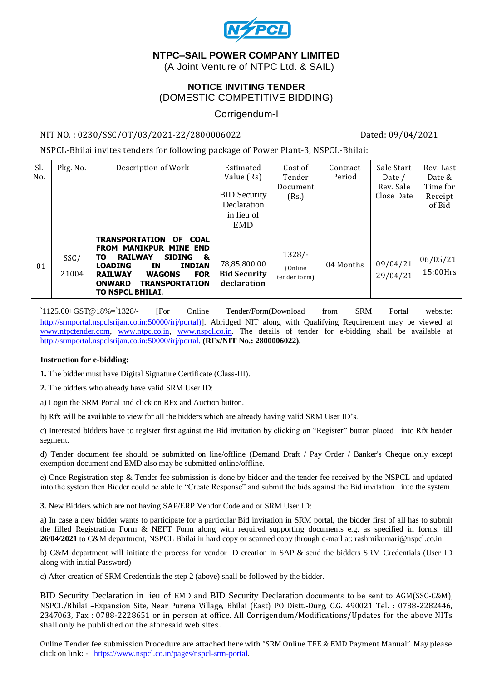

# **NTPC–SAIL POWER COMPANY LIMITED**

(A Joint Venture of NTPC Ltd. & SAIL)

### **NOTICE INVITING TENDER** (DOMESTIC COMPETITIVE BIDDING)

## Corrigendum-I

#### NIT NO. : 0230/SSC/OT/03/2021-22/2800006022 Dated: 09/04/2021

NSPCL-Bhilai invites tenders for following package of Power Plant-3, NSPCL-Bhilai:

| Sl.<br>No. | Pkg. No.      | Description of Work                                                                                                                                                                                                                                                                               | Estimated<br>Value (Rs)                                        | Cost of<br>Tender<br>Document       | Contract<br>Period | Sale Start<br>Date /<br>Rev. Sale | Rev. Last<br>Date &<br>Time for |
|------------|---------------|---------------------------------------------------------------------------------------------------------------------------------------------------------------------------------------------------------------------------------------------------------------------------------------------------|----------------------------------------------------------------|-------------------------------------|--------------------|-----------------------------------|---------------------------------|
|            |               |                                                                                                                                                                                                                                                                                                   | <b>BID Security</b><br>Declaration<br>in lieu of<br><b>EMD</b> | (Rs.)                               |                    | Close Date                        | Receipt<br>of Bid               |
| 01         | SSC/<br>21004 | <b>TRANSPORTATION</b><br><b>COAL</b><br><b>OF</b><br><b>FROM MANIKPUR MINE END</b><br><b>RAILWAY</b><br><b>SIDING</b><br>&<br>TO.<br><b>LOADING</b><br><b>INDIAN</b><br>IN.<br><b>FOR</b><br><b>RAILWAY</b><br><b>WAGONS</b><br><b>ONWARD</b><br><b>TRANSPORTATION</b><br><b>TO NSPCL BHILAI.</b> | 78,85,800.00<br><b>Bid Security</b><br>declaration             | $1328/-$<br>(Online<br>tender form) | 04 Months          | 09/04/21<br>29/04/21              | 06/05/21<br>15:00Hrs            |

`1125.00+GST@18%=`1328/- [For Online Tender/Form(Download from SRM Portal website: [http://srmportal.nspclsrijan.co.in:50000/irj/portal\)\]](http://srmportal.nspclsrijan.co.in:50000/irj/portal)). Abridged NIT along with Qualifying Requirement may be viewed at [www.ntpctender.com,](http://www.ntpctender.com/) [www.ntpc.co.in,](http://www.ntpc.co.in/) [www.nspcl.co.in.](http://www.nspcl.co.in/) The details of tender for e-bidding shall be available at <http://srmportal.nspclsrijan.co.in:50000/irj/portal.> **(RFx/NIT No.: 2800006022)**.

#### **Instruction for e-bidding:**

**1.** The bidder must have Digital Signature Certificate (Class-III).

**2.** The bidders who already have valid SRM User ID:

a) Login the SRM Portal and click on RFx and Auction button.

b) Rfx will be available to view for all the bidders which are already having valid SRM User ID's.

c) Interested bidders have to register first against the Bid invitation by clicking on "Register" button placed into Rfx header segment.

d) Tender document fee should be submitted on line/offline (Demand Draft / Pay Order / Banker's Cheque only except exemption document and EMD also may be submitted online/offline.

e) Once Registration step & Tender fee submission is done by bidder and the tender fee received by the NSPCL and updated into the system then Bidder could be able to "Create Response" and submit the bids against the Bid invitation into the system.

**3.** New Bidders which are not having SAP/ERP Vendor Code and or SRM User ID:

a) In case a new bidder wants to participate for a particular Bid invitation in SRM portal, the bidder first of all has to submit the filled Registration Form & NEFT Form along with required supporting documents e.g. as specified in forms, till **26/04/2021** to C&M department, NSPCL Bhilai in hard copy or scanned copy through e-mail at: rashmikumari@nspcl.co.in

b) C&M department will initiate the process for vendor ID creation in SAP & send the bidders SRM Credentials (User ID along with initial Password)

c) After creation of SRM Credentials the step 2 (above) shall be followed by the bidder.

BID Security Declaration in lieu of EMD and BID Security Declaration documents to be sent to AGM(SSC-C&M), NSPCL/Bhilai –Expansion Site, Near Purena Village, Bhilai (East) PO Distt.-Durg, C.G. 490021 Tel. : 0788-2282446, 2347063, Fax : 0788-2228651 or in person at office. All Corrigendum/Modifications/Updates for the above NITs shall only be published on the aforesaid web sites.

Online Tender fee submission Procedure are attached here with "SRM Online TFE & EMD Payment Manual". May please click on link: - [https://www.nspcl.co.in/pages/nspcl-srm-portal.](https://www.nspcl.co.in/pages/nspcl-srm-portal)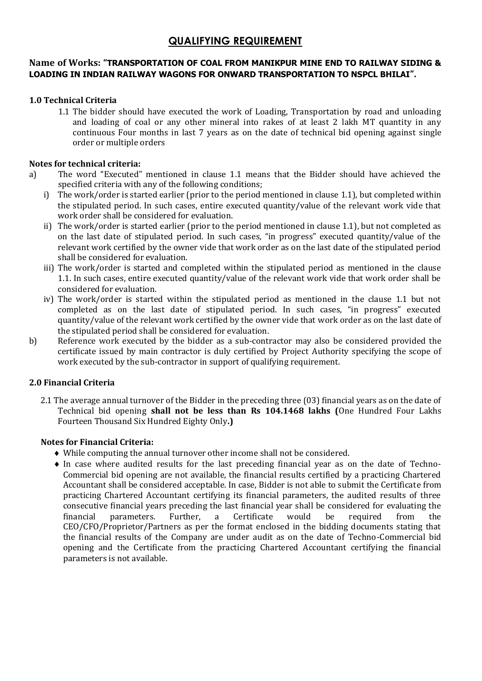# **QUALIFYING REQUIREMENT**

#### **Name of Works: "TRANSPORTATION OF COAL FROM MANIKPUR MINE END TO RAILWAY SIDING & LOADING IN INDIAN RAILWAY WAGONS FOR ONWARD TRANSPORTATION TO NSPCL BHILAI".**

### **1.0 Technical Criteria**

1.1 The bidder should have executed the work of Loading, Transportation by road and unloading and loading of coal or any other mineral into rakes of at least 2 lakh MT quantity in any continuous Four months in last 7 years as on the date of technical bid opening against single order or multiple orders

#### **Notes for technical criteria:**

- a) The word "Executed" mentioned in clause 1.1 means that the Bidder should have achieved the specified criteria with any of the following conditions;
	- i) The work/order is started earlier (prior to the period mentioned in clause 1.1), but completed within the stipulated period. In such cases, entire executed quantity/value of the relevant work vide that work order shall be considered for evaluation.
	- ii) The work/order is started earlier (prior to the period mentioned in clause 1.1), but not completed as on the last date of stipulated period. In such cases, "in progress" executed quantity/value of the relevant work certified by the owner vide that work order as on the last date of the stipulated period shall be considered for evaluation.
	- iii) The work/order is started and completed within the stipulated period as mentioned in the clause 1.1. In such cases, entire executed quantity/value of the relevant work vide that work order shall be considered for evaluation.
	- iv) The work/order is started within the stipulated period as mentioned in the clause 1.1 but not completed as on the last date of stipulated period. In such cases, "in progress" executed quantity/value of the relevant work certified by the owner vide that work order as on the last date of the stipulated period shall be considered for evaluation.
- b) Reference work executed by the bidder as a sub-contractor may also be considered provided the certificate issued by main contractor is duly certified by Project Authority specifying the scope of work executed by the sub-contractor in support of qualifying requirement.

#### **2.0 Financial Criteria**

2.1 The average annual turnover of the Bidder in the preceding three (03) financial years as on the date of Technical bid opening **shall not be less than Rs 104.1468 lakhs (**One Hundred Four Lakhs Fourteen Thousand Six Hundred Eighty Only**.)** 

#### **Notes for Financial Criteria:**

- While computing the annual turnover other income shall not be considered.
- In case where audited results for the last preceding financial year as on the date of Techno-Commercial bid opening are not available, the financial results certified by a practicing Chartered Accountant shall be considered acceptable. In case, Bidder is not able to submit the Certificate from practicing Chartered Accountant certifying its financial parameters, the audited results of three consecutive financial years preceding the last financial year shall be considered for evaluating the financial parameters. Further, a Certificate would be required from the CEO/CFO/Proprietor/Partners as per the format enclosed in the bidding documents stating that the financial results of the Company are under audit as on the date of Techno-Commercial bid opening and the Certificate from the practicing Chartered Accountant certifying the financial parameters is not available.